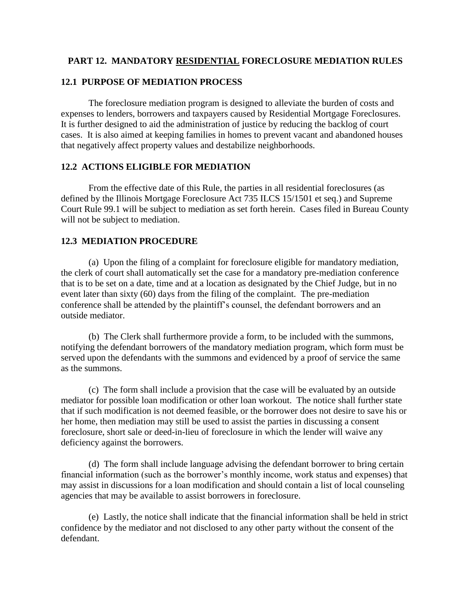# **PART 12. MANDATORY RESIDENTIAL FORECLOSURE MEDIATION RULES**

## **12.1 PURPOSE OF MEDIATION PROCESS**

The foreclosure mediation program is designed to alleviate the burden of costs and expenses to lenders, borrowers and taxpayers caused by Residential Mortgage Foreclosures. It is further designed to aid the administration of justice by reducing the backlog of court cases. It is also aimed at keeping families in homes to prevent vacant and abandoned houses that negatively affect property values and destabilize neighborhoods.

### **12.2 ACTIONS ELIGIBLE FOR MEDIATION**

From the effective date of this Rule, the parties in all residential foreclosures (as defined by the Illinois Mortgage Foreclosure Act 735 ILCS 15/1501 et seq.) and Supreme Court Rule 99.1 will be subject to mediation as set forth herein. Cases filed in Bureau County will not be subject to mediation.

## **12.3 MEDIATION PROCEDURE**

(a) Upon the filing of a complaint for foreclosure eligible for mandatory mediation, the clerk of court shall automatically set the case for a mandatory pre-mediation conference that is to be set on a date, time and at a location as designated by the Chief Judge, but in no event later than sixty (60) days from the filing of the complaint. The pre-mediation conference shall be attended by the plaintiff's counsel, the defendant borrowers and an outside mediator.

(b) The Clerk shall furthermore provide a form, to be included with the summons, notifying the defendant borrowers of the mandatory mediation program, which form must be served upon the defendants with the summons and evidenced by a proof of service the same as the summons.

(c) The form shall include a provision that the case will be evaluated by an outside mediator for possible loan modification or other loan workout. The notice shall further state that if such modification is not deemed feasible, or the borrower does not desire to save his or her home, then mediation may still be used to assist the parties in discussing a consent foreclosure, short sale or deed-in-lieu of foreclosure in which the lender will waive any deficiency against the borrowers.

(d) The form shall include language advising the defendant borrower to bring certain financial information (such as the borrower's monthly income, work status and expenses) that may assist in discussions for a loan modification and should contain a list of local counseling agencies that may be available to assist borrowers in foreclosure.

(e) Lastly, the notice shall indicate that the financial information shall be held in strict confidence by the mediator and not disclosed to any other party without the consent of the defendant.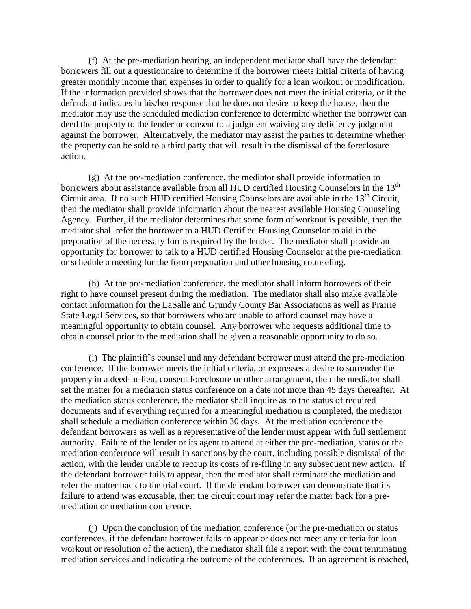(f) At the pre-mediation hearing, an independent mediator shall have the defendant borrowers fill out a questionnaire to determine if the borrower meets initial criteria of having greater monthly income than expenses in order to qualify for a loan workout or modification. If the information provided shows that the borrower does not meet the initial criteria, or if the defendant indicates in his/her response that he does not desire to keep the house, then the mediator may use the scheduled mediation conference to determine whether the borrower can deed the property to the lender or consent to a judgment waiving any deficiency judgment against the borrower. Alternatively, the mediator may assist the parties to determine whether the property can be sold to a third party that will result in the dismissal of the foreclosure action.

(g) At the pre-mediation conference, the mediator shall provide information to borrowers about assistance available from all HUD certified Housing Counselors in the  $13<sup>th</sup>$ Circuit area. If no such HUD certified Housing Counselors are available in the  $13<sup>th</sup>$  Circuit, then the mediator shall provide information about the nearest available Housing Counseling Agency. Further, if the mediator determines that some form of workout is possible, then the mediator shall refer the borrower to a HUD Certified Housing Counselor to aid in the preparation of the necessary forms required by the lender. The mediator shall provide an opportunity for borrower to talk to a HUD certified Housing Counselor at the pre-mediation or schedule a meeting for the form preparation and other housing counseling.

(h) At the pre-mediation conference, the mediator shall inform borrowers of their right to have counsel present during the mediation. The mediator shall also make available contact information for the LaSalle and Grundy County Bar Associations as well as Prairie State Legal Services, so that borrowers who are unable to afford counsel may have a meaningful opportunity to obtain counsel. Any borrower who requests additional time to obtain counsel prior to the mediation shall be given a reasonable opportunity to do so.

(i) The plaintiff's counsel and any defendant borrower must attend the pre-mediation conference. If the borrower meets the initial criteria, or expresses a desire to surrender the property in a deed-in-lieu, consent foreclosure or other arrangement, then the mediator shall set the matter for a mediation status conference on a date not more than 45 days thereafter. At the mediation status conference, the mediator shall inquire as to the status of required documents and if everything required for a meaningful mediation is completed, the mediator shall schedule a mediation conference within 30 days. At the mediation conference the defendant borrowers as well as a representative of the lender must appear with full settlement authority. Failure of the lender or its agent to attend at either the pre-mediation, status or the mediation conference will result in sanctions by the court, including possible dismissal of the action, with the lender unable to recoup its costs of re-filing in any subsequent new action. If the defendant borrower fails to appear, then the mediator shall terminate the mediation and refer the matter back to the trial court. If the defendant borrower can demonstrate that its failure to attend was excusable, then the circuit court may refer the matter back for a premediation or mediation conference.

(j) Upon the conclusion of the mediation conference (or the pre-mediation or status conferences, if the defendant borrower fails to appear or does not meet any criteria for loan workout or resolution of the action), the mediator shall file a report with the court terminating mediation services and indicating the outcome of the conferences. If an agreement is reached,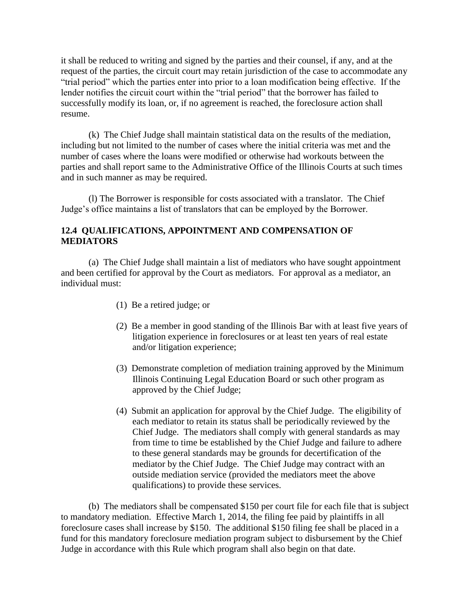it shall be reduced to writing and signed by the parties and their counsel, if any, and at the request of the parties, the circuit court may retain jurisdiction of the case to accommodate any "trial period" which the parties enter into prior to a loan modification being effective. If the lender notifies the circuit court within the "trial period" that the borrower has failed to successfully modify its loan, or, if no agreement is reached, the foreclosure action shall resume.

(k) The Chief Judge shall maintain statistical data on the results of the mediation, including but not limited to the number of cases where the initial criteria was met and the number of cases where the loans were modified or otherwise had workouts between the parties and shall report same to the Administrative Office of the Illinois Courts at such times and in such manner as may be required.

(l) The Borrower is responsible for costs associated with a translator. The Chief Judge's office maintains a list of translators that can be employed by the Borrower.

# **12.4 QUALIFICATIONS, APPOINTMENT AND COMPENSATION OF MEDIATORS**

(a) The Chief Judge shall maintain a list of mediators who have sought appointment and been certified for approval by the Court as mediators. For approval as a mediator, an individual must:

- (1) Be a retired judge; or
- (2) Be a member in good standing of the Illinois Bar with at least five years of litigation experience in foreclosures or at least ten years of real estate and/or litigation experience;
- (3) Demonstrate completion of mediation training approved by the Minimum Illinois Continuing Legal Education Board or such other program as approved by the Chief Judge;
- (4) Submit an application for approval by the Chief Judge. The eligibility of each mediator to retain its status shall be periodically reviewed by the Chief Judge. The mediators shall comply with general standards as may from time to time be established by the Chief Judge and failure to adhere to these general standards may be grounds for decertification of the mediator by the Chief Judge. The Chief Judge may contract with an outside mediation service (provided the mediators meet the above qualifications) to provide these services.

(b) The mediators shall be compensated \$150 per court file for each file that is subject to mandatory mediation. Effective March 1, 2014, the filing fee paid by plaintiffs in all foreclosure cases shall increase by \$150. The additional \$150 filing fee shall be placed in a fund for this mandatory foreclosure mediation program subject to disbursement by the Chief Judge in accordance with this Rule which program shall also begin on that date.